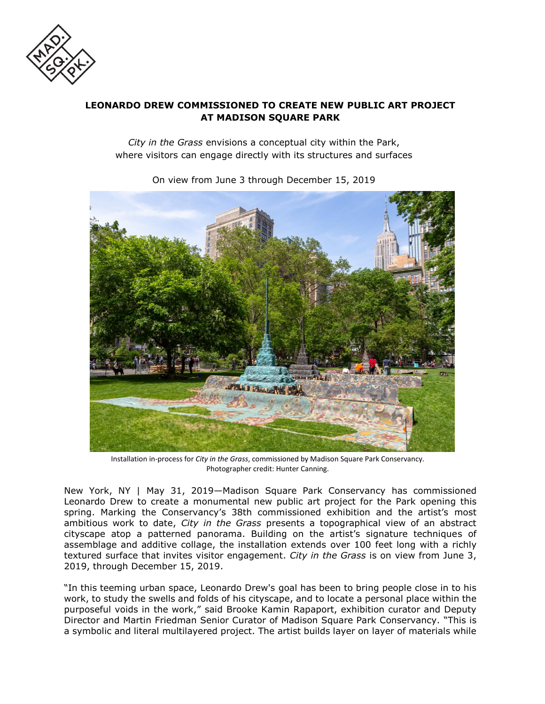

# **LEONARDO DREW COMMISSIONED TO CREATE NEW PUBLIC ART PROJECT AT MADISON SQUARE PARK**

*City in the Grass* envisions a conceptual city within the Park, where visitors can engage directly with its structures and surfaces



On view from June 3 through December 15, 2019

Installation in-process for *City in the Grass*, commissioned by Madison Square Park Conservancy*.*  Photographer credit: Hunter Canning.

New York, NY | May 31, 2019—Madison Square Park Conservancy has commissioned Leonardo Drew to create a monumental new public art project for the Park opening this spring. Marking the Conservancy's 38th commissioned exhibition and the artist's most ambitious work to date, *City in the Grass* presents a topographical view of an abstract cityscape atop a patterned panorama. Building on the artist's signature techniques of assemblage and additive collage, the installation extends over 100 feet long with a richly textured surface that invites visitor engagement. *City in the Grass* is on view from June 3, 2019, through December 15, 2019.

"In this teeming urban space, Leonardo Drew's goal has been to bring people close in to his work, to study the swells and folds of his cityscape, and to locate a personal place within the purposeful voids in the work," said Brooke Kamin Rapaport, exhibition curator and Deputy Director and Martin Friedman Senior Curator of Madison Square Park Conservancy. "This is a symbolic and literal multilayered project. The artist builds layer on layer of materials while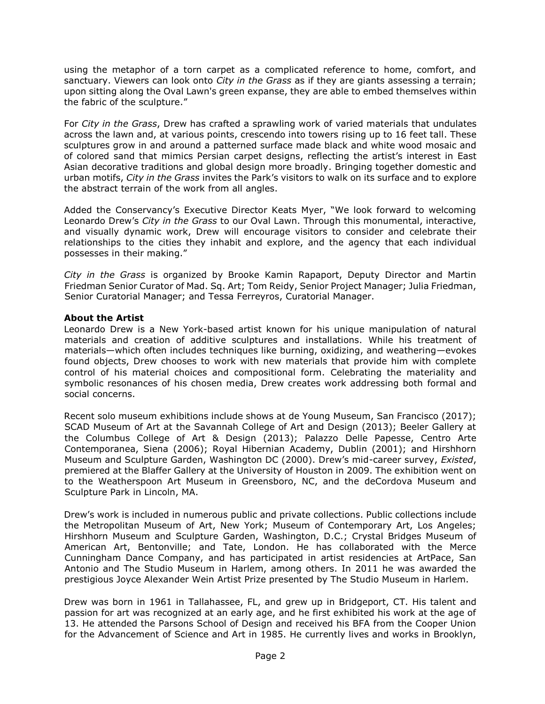using the metaphor of a torn carpet as a complicated reference to home, comfort, and sanctuary. Viewers can look onto *City in the Grass* as if they are giants assessing a terrain; upon sitting along the Oval Lawn's green expanse, they are able to embed themselves within the fabric of the sculpture."

For *City in the Grass*, Drew has crafted a sprawling work of varied materials that undulates across the lawn and, at various points, crescendo into towers rising up to 16 feet tall. These sculptures grow in and around a patterned surface made black and white wood mosaic and of colored sand that mimics Persian carpet designs, reflecting the artist's interest in East Asian decorative traditions and global design more broadly. Bringing together domestic and urban motifs, *City in the Grass* invites the Park's visitors to walk on its surface and to explore the abstract terrain of the work from all angles.

Added the Conservancy's Executive Director Keats Myer, "We look forward to welcoming Leonardo Drew's *City in the Grass* to our Oval Lawn. Through this monumental, interactive, and visually dynamic work, Drew will encourage visitors to consider and celebrate their relationships to the cities they inhabit and explore, and the agency that each individual possesses in their making."

*City in the Grass* is organized by Brooke Kamin Rapaport, Deputy Director and Martin Friedman Senior Curator of Mad. Sq. Art; Tom Reidy, Senior Project Manager; Julia Friedman, Senior Curatorial Manager; and Tessa Ferreyros, Curatorial Manager.

#### **About the Artist**

Leonardo Drew is a New York-based artist known for his unique manipulation of natural materials and creation of additive sculptures and installations. While his treatment of materials—which often includes techniques like burning, oxidizing, and weathering—evokes found objects, Drew chooses to work with new materials that provide him with complete control of his material choices and compositional form. Celebrating the materiality and symbolic resonances of his chosen media, Drew creates work addressing both formal and social concerns.

Recent solo museum exhibitions include shows at de Young Museum, San Francisco (2017); SCAD Museum of Art at the Savannah College of Art and Design (2013); Beeler Gallery at the Columbus College of Art & Design (2013); Palazzo Delle Papesse, Centro Arte Contemporanea, Siena (2006); Royal Hibernian Academy, Dublin (2001); and Hirshhorn Museum and Sculpture Garden, Washington DC (2000). Drew's mid-career survey, *Existed*, premiered at the Blaffer Gallery at the University of Houston in 2009. The exhibition went on to the Weatherspoon Art Museum in Greensboro, NC, and the deCordova Museum and Sculpture Park in Lincoln, MA.

Drew's work is included in numerous public and private collections. Public collections include the Metropolitan Museum of Art, New York; Museum of Contemporary Art, Los Angeles; Hirshhorn Museum and Sculpture Garden, Washington, D.C.; Crystal Bridges Museum of American Art, Bentonville; and Tate, London. He has collaborated with the Merce Cunningham Dance Company, and has participated in artist residencies at ArtPace, San Antonio and The Studio Museum in Harlem, among others. In 2011 he was awarded the prestigious Joyce Alexander Wein Artist Prize presented by The Studio Museum in Harlem.

Drew was born in 1961 in Tallahassee, FL, and grew up in Bridgeport, CT. His talent and passion for art was recognized at an early age, and he first exhibited his work at the age of 13. He attended the Parsons School of Design and received his BFA from the Cooper Union for the Advancement of Science and Art in 1985. He currently lives and works in Brooklyn,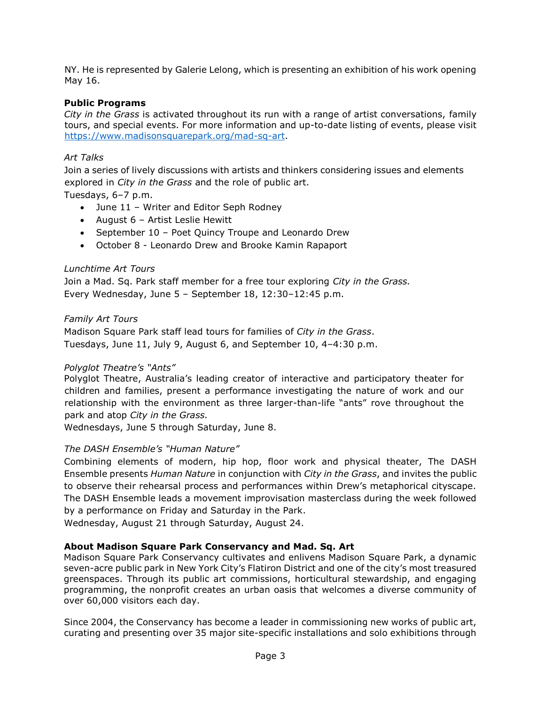NY. He is represented by Galerie Lelong, which is presenting an exhibition of his work opening May 16.

### **Public Programs**

*City in the Grass* is activated throughout its run with a range of artist conversations, family tours, and special events. For more information and up-to-date listing of events, please visit [https://www.madisonsquarepark.org/mad-sq-art.](https://www.madisonsquarepark.org/mad-sq-art)

### *Art Talks*

Join a series of lively discussions with artists and thinkers considering issues and elements explored in *City in the Grass* and the role of public art.

Tuesdays, 6–7 p.m.

- June 11 Writer and Editor Seph Rodney
- August 6 Artist Leslie Hewitt
- September 10 Poet Quincy Troupe and Leonardo Drew
- October 8 Leonardo Drew and Brooke Kamin Rapaport

#### *Lunchtime Art Tours*

Join a Mad. Sq. Park staff member for a free tour exploring *City in the Grass.* Every Wednesday, June 5 – September 18, 12:30–12:45 p.m.

#### *Family Art Tours*

Madison Square Park staff lead tours for families of *City in the Grass*. Tuesdays, June 11, July 9, August 6, and September 10, 4–4:30 p.m.

## *Polyglot Theatre's "Ants"*

Polyglot Theatre, Australia's leading creator of interactive and participatory theater for children and families, present a performance investigating the nature of work and our relationship with the environment as three larger-than-life "ants" rove throughout the park and atop *City in the Grass.* 

Wednesdays, June 5 through Saturday, June 8.

## *The DASH Ensemble's "Human Nature"*

Combining elements of modern, hip hop, floor work and physical theater, The DASH Ensemble presents *Human Nature* in conjunction with *City in the Grass*, and invites the public to observe their rehearsal process and performances within Drew's metaphorical cityscape. The DASH Ensemble leads a movement improvisation masterclass during the week followed by a performance on Friday and Saturday in the Park.

Wednesday, August 21 through Saturday, August 24.

## **About Madison Square Park Conservancy and Mad. Sq. Art**

Madison Square Park Conservancy cultivates and enlivens Madison Square Park, a dynamic seven-acre public park in New York City's Flatiron District and one of the city's most treasured greenspaces. Through its public art commissions, horticultural stewardship, and engaging programming, the nonprofit creates an urban oasis that welcomes a diverse community of over 60,000 visitors each day.

Since 2004, the Conservancy has become a leader in commissioning new works of public art, curating and presenting over 35 major site-specific installations and solo exhibitions through